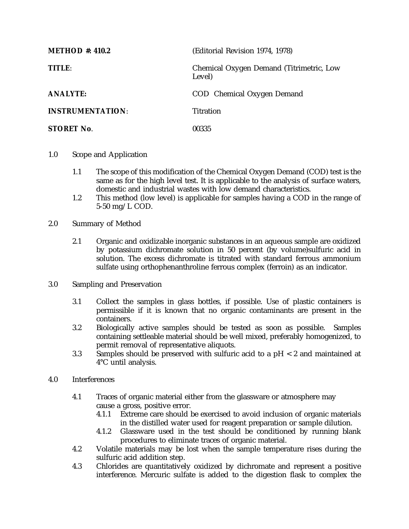| <b>METHOD #: 410.2</b>  | (Editorial Revision 1974, 1978)                    |
|-------------------------|----------------------------------------------------|
| TITLE:                  | Chemical Oxygen Demand (Titrimetric, Low<br>Level) |
| <b>ANALYTE:</b>         | COD Chemical Oxygen Demand                         |
| <b>INSTRUMENTATION:</b> | <b>Titration</b>                                   |
| <b>STORET No.</b>       | 00335                                              |

- 1.0 Scope and Application
	- 1.1 The scope of this modification of the Chemical Oxygen Demand (COD) test is the same as for the high level test. It is applicable to the analysis of surface waters, domestic and industrial wastes with low demand characteristics.
	- 1.2 This method (low level) is applicable for samples having a COD in the range of 5-50 mg/L COD.
- 2.0 Summary of Method
	- 2.1 Organic and oxidizable inorganic substances in an aqueous sample are oxidized by potassium dichromate solution in 50 percent (by volume)sulfuric acid in solution. The excess dichromate is titrated with standard ferrous ammonium sulfate using orthophenanthroline ferrous complex (ferroin) as an indicator.
- 3.0 Sampling and Preservation
	- 3.1 Collect the samples in glass bottles, if possible. Use of plastic containers is permissible if it is known that no organic contaminants are present in the containers.
	- 3.2 Biologically active samples should be tested as soon as possible. Samples containing settleable material should be well mixed, preferably homogenized, to permit removal of representative aliquots.
	- 3.3 Samples should be preserved with sulfuric acid to a pH < 2 and maintained at 4°C until analysis.
- 4.0 Interferences
	- 4.1 Traces of organic material either from the glassware or atmosphere may cause a gross, positive error.
		- 4.1.1 Extreme care should be exercised to avoid inclusion of organic materials in the distilled water used for reagent preparation or sample dilution.
		- 4.1.2 Glassware used in the test should be conditioned by running blank procedures to eliminate traces of organic material.
	- 4.2 Volatile materials may be lost when the sample temperature rises during the sulfuric acid addition step.
	- 4.3 Chlorides are quantitatively oxidized by dichromate and represent a positive interference. Mercuric sulfate is added to the digestion flask to complex the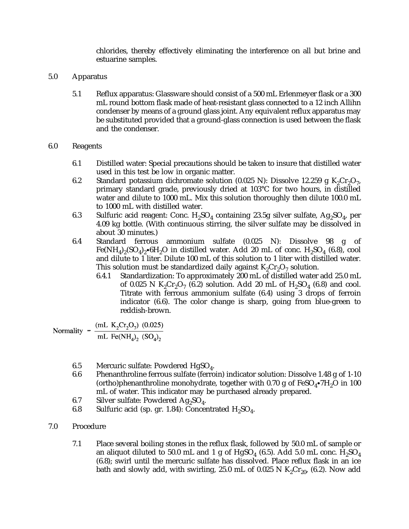chlorides, thereby effectively eliminating the interference on all but brine and estuarine samples.

- 5.0 Apparatus
	- 5.1 Reflux apparatus: Glassware should consist of a 500 mL Erlenmeyer flask or a 300 mL round bottom flask made of heat-resistant glass connected to a 12 inch Allihn condenser by means of a ground glass joint. Any equivalent reflux apparatus may be substituted provided that a ground-glass connection is used between the flask and the condenser.

## 6.0 Reagents

- 6.1 Distilled water: Special precautions should be taken to insure that distilled water used in this test be low in organic matter.
- 6.2 Standard potassium dichromate solution (0.025 N): Dissolve 12.259 g  $K_2Cr_2O_7$ , primary standard grade, previously dried at 103°C for two hours, in distilled water and dilute to 1000 mL. Mix this solution thoroughly then dilute 100.0 mL to 1000 mL with distilled water.
- 6.3 Sulfuric acid reagent: Conc.  $H_2SO_4$  containing 23.5g silver sulfate,  $Ag_2SO_4$ , per 4.09 kg bottle. (With continuous stirring, the silver sulfate may be dissolved in about 30 minutes.)
- 6.4 Standard ferrous ammonium sulfate (0.025 N): Dissolve 98 g of Fe(NH<sub>4</sub>)<sub>2</sub>(SO<sub>4</sub>)<sub>2</sub> $\cdot$ 6H<sub>2</sub>O in distilled water. Add 20 mL of conc. H<sub>2</sub>SO<sub>4</sub> (6.8), cool and dilute to 1 liter. Dilute 100 mL of this solution to 1 liter with distilled water. This solution must be standardized daily against  $K_2Cr_2O_7$  solution.<br>6.4.1 Standardization: To approximately 200 mL of distilled water
	- 6.4.1 Standardization: To approximately 200 mL of distilled water add 25.0 mL of 0.025 N K<sub>2</sub>Cr<sub>2</sub>O<sub>7</sub> (6.2) solution. Add 20 mL of H<sub>2</sub>SO<sub>4</sub> (6.8) and cool. Titrate with ferrous ammonium sulfate (6.4) using 3 drops of ferroin indicator (6.6). The color change is sharp, going from blue-green to reddish-brown.

$$
\text{Normality} = \frac{(\text{mL K}_2 \text{Cr}_2 \text{O}_7) \ (0.025)}{\text{mL Fe(NH}_4)_2 \ (S\text{O}_4)_2}
$$

- 6.5 Mercuric sulfate: Powdered HgSO<sub>4</sub>.<br>6.6 Phenanthroline ferrous sulfate (ferro
- Phenanthroline ferrous sulfate (ferroin) indicator solution: Dissolve 1.48 g of 1-10 (ortho)phenanthroline monohydrate, together with 0.70 g of  $FeSO_4\bullet 7H_2O$  in 100 mL of water. This indicator may be purchased already prepared.
- 6.7 Silver sulfate: Powdered  $Ag_2SO_4$ .<br>6.8 Sulfuric acid (sp. gr. 1.84): Concer
- Sulfuric acid (sp. gr. 1.84): Concentrated  $H_2SO_4$ .
- 7.0 Procedure
	- 7.1 Place several boiling stones in the reflux flask, followed by 50.0 mL of sample or an aliquot diluted to 50.0 mL and 1 g of  $HgSO<sub>4</sub>$  (6.5). Add 5.0 mL conc.  $H<sub>2</sub>SO<sub>4</sub>$ (6.8); swirl until the mercuric sulfate has dissolved. Place reflux flask in an ice bath and slowly add, with swirling, 25.0 mL of 0.025 N  $K_2Cr_{20}$ , (6.2). Now add